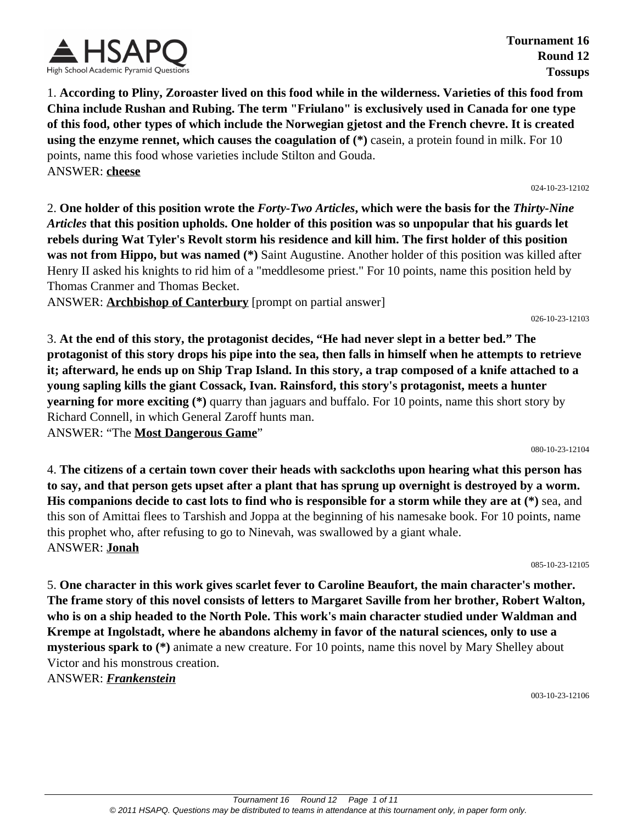

**Tournament 16 Round 12 Tossups**

1. **According to Pliny, Zoroaster lived on this food while in the wilderness. Varieties of this food from China include Rushan and Rubing. The term "Friulano" is exclusively used in Canada for one type of this food, other types of which include the Norwegian gjetost and the French chevre. It is created using the enzyme rennet, which causes the coagulation of (\*)** casein, a protein found in milk. For 10 points, name this food whose varieties include Stilton and Gouda. ANSWER: **cheese**

024-10-23-12102

2. **One holder of this position wrote the** *Forty-Two Articles***, which were the basis for the** *Thirty-Nine Articles* **that this position upholds. One holder of this position was so unpopular that his guards let rebels during Wat Tyler's Revolt storm his residence and kill him. The first holder of this position was not from Hippo, but was named (\*)** Saint Augustine. Another holder of this position was killed after Henry II asked his knights to rid him of a "meddlesome priest." For 10 points, name this position held by Thomas Cranmer and Thomas Becket.

ANSWER: **Archbishop of Canterbury** [prompt on partial answer]

026-10-23-12103

3. **At the end of this story, the protagonist decides, "He had never slept in a better bed." The protagonist of this story drops his pipe into the sea, then falls in himself when he attempts to retrieve it; afterward, he ends up on Ship Trap Island. In this story, a trap composed of a knife attached to a young sapling kills the giant Cossack, Ivan. Rainsford, this story's protagonist, meets a hunter yearning for more exciting (\*)** quarry than jaguars and buffalo. For 10 points, name this short story by Richard Connell, in which General Zaroff hunts man.

ANSWER: "The **Most Dangerous Game**"

080-10-23-12104

4. **The citizens of a certain town cover their heads with sackcloths upon hearing what this person has to say, and that person gets upset after a plant that has sprung up overnight is destroyed by a worm. His companions decide to cast lots to find who is responsible for a storm while they are at (\*)** sea, and this son of Amittai flees to Tarshish and Joppa at the beginning of his namesake book. For 10 points, name this prophet who, after refusing to go to Ninevah, was swallowed by a giant whale. ANSWER: **Jonah**

085-10-23-12105

5. **One character in this work gives scarlet fever to Caroline Beaufort, the main character's mother. The frame story of this novel consists of letters to Margaret Saville from her brother, Robert Walton, who is on a ship headed to the North Pole. This work's main character studied under Waldman and Krempe at Ingolstadt, where he abandons alchemy in favor of the natural sciences, only to use a mysterious spark to (\*)** animate a new creature. For 10 points, name this novel by Mary Shelley about Victor and his monstrous creation.

ANSWER: *Frankenstein*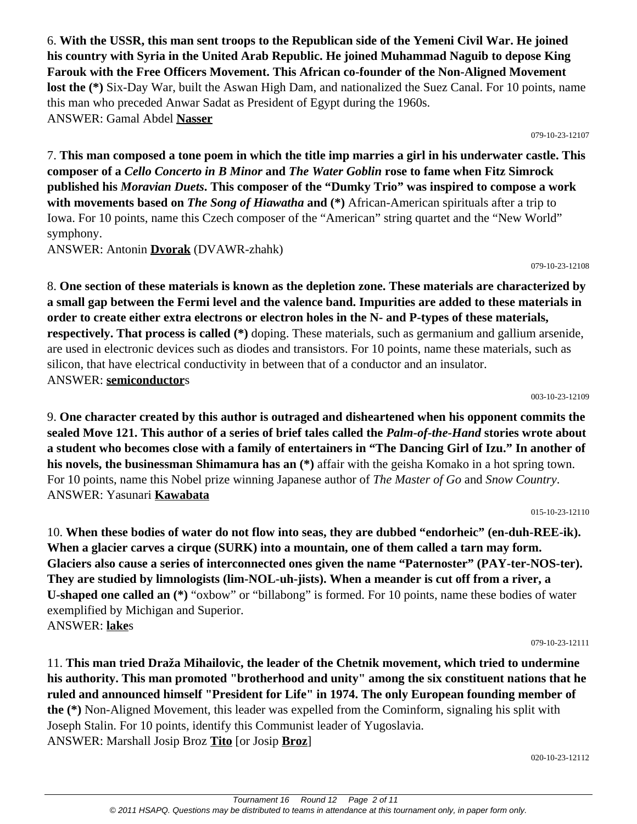6. **With the USSR, this man sent troops to the Republican side of the Yemeni Civil War. He joined his country with Syria in the United Arab Republic. He joined Muhammad Naguib to depose King Farouk with the Free Officers Movement. This African co-founder of the Non-Aligned Movement lost the (\*)** Six-Day War, built the Aswan High Dam, and nationalized the Suez Canal. For 10 points, name this man who preceded Anwar Sadat as President of Egypt during the 1960s. ANSWER: Gamal Abdel **Nasser**

079-10-23-12107

7. **This man composed a tone poem in which the title imp marries a girl in his underwater castle. This composer of a** *Cello Concerto in B Minor* **and** *The Water Goblin* **rose to fame when Fitz Simrock published his** *Moravian Duets***. This composer of the "Dumky Trio" was inspired to compose a work with movements based on** *The Song of Hiawatha* **and (\*)** African-American spirituals after a trip to Iowa. For 10 points, name this Czech composer of the "American" string quartet and the "New World" symphony.

ANSWER: Antonin **Dvorak** (DVAWR-zhahk)

079-10-23-12108

8. **One section of these materials is known as the depletion zone. These materials are characterized by a small gap between the Fermi level and the valence band. Impurities are added to these materials in order to create either extra electrons or electron holes in the N- and P-types of these materials, respectively. That process is called (\*)** doping. These materials, such as germanium and gallium arsenide, are used in electronic devices such as diodes and transistors. For 10 points, name these materials, such as silicon, that have electrical conductivity in between that of a conductor and an insulator. ANSWER: **semiconductor**s

003-10-23-12109

9. **One character created by this author is outraged and disheartened when his opponent commits the sealed Move 121. This author of a series of brief tales called the** *Palm-of-the-Hand* **stories wrote about a student who becomes close with a family of entertainers in "The Dancing Girl of Izu." In another of his novels, the businessman Shimamura has an (\*)** affair with the geisha Komako in a hot spring town. For 10 points, name this Nobel prize winning Japanese author of *The Master of Go* and *Snow Country*. ANSWER: Yasunari **Kawabata**

015-10-23-12110

10. **When these bodies of water do not flow into seas, they are dubbed "endorheic" (en-duh-REE-ik). When a glacier carves a cirque (SURK) into a mountain, one of them called a tarn may form. Glaciers also cause a series of interconnected ones given the name "Paternoster" (PAY-ter-NOS-ter). They are studied by limnologists (lim-NOL-uh-jists). When a meander is cut off from a river, a U-shaped one called an (\*)** "oxbow" or "billabong" is formed. For 10 points, name these bodies of water exemplified by Michigan and Superior. ANSWER: **lake**s

079-10-23-12111

11. **This man tried Draža Mihailovic, the leader of the Chetnik movement, which tried to undermine his authority. This man promoted "brotherhood and unity" among the six constituent nations that he ruled and announced himself "President for Life" in 1974. The only European founding member of the (\*)** Non-Aligned Movement, this leader was expelled from the Cominform, signaling his split with Joseph Stalin. For 10 points, identify this Communist leader of Yugoslavia. ANSWER: Marshall Josip Broz **Tito** [or Josip **Broz**]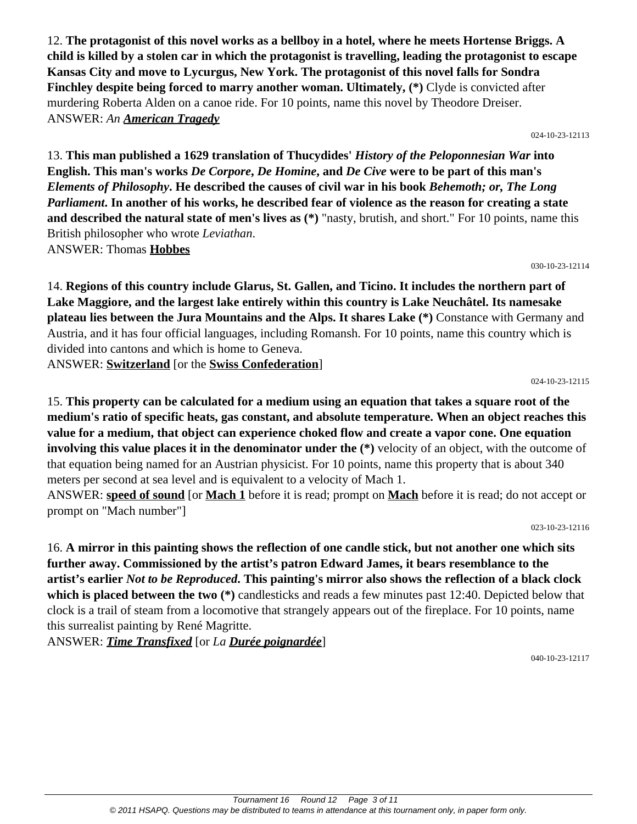12. **The protagonist of this novel works as a bellboy in a hotel, where he meets Hortense Briggs. A child is killed by a stolen car in which the protagonist is travelling, leading the protagonist to escape Kansas City and move to Lycurgus, New York. The protagonist of this novel falls for Sondra Finchley despite being forced to marry another woman. Ultimately, (\*)** Clyde is convicted after murdering Roberta Alden on a canoe ride. For 10 points, name this novel by Theodore Dreiser. ANSWER: *An American Tragedy*

024-10-23-12113

13. **This man published a 1629 translation of Thucydides'** *History of the Peloponnesian War* **into English. This man's works** *De Corpore***,** *De Homine***, and** *De Cive* **were to be part of this man's**  *Elements of Philosophy***. He described the causes of civil war in his book** *Behemoth; or, The Long Parliament***. In another of his works, he described fear of violence as the reason for creating a state and described the natural state of men's lives as (\*)** "nasty, brutish, and short." For 10 points, name this British philosopher who wrote *Leviathan*. ANSWER: Thomas **Hobbes**

030-10-23-12114

14. **Regions of this country include Glarus, St. Gallen, and Ticino. It includes the northern part of Lake Maggiore, and the largest lake entirely within this country is Lake Neuchâtel. Its namesake plateau lies between the Jura Mountains and the Alps. It shares Lake (\*)** Constance with Germany and Austria, and it has four official languages, including Romansh. For 10 points, name this country which is divided into cantons and which is home to Geneva.

ANSWER: **Switzerland** [or the **Swiss Confederation**]

024-10-23-12115

15. **This property can be calculated for a medium using an equation that takes a square root of the medium's ratio of specific heats, gas constant, and absolute temperature. When an object reaches this value for a medium, that object can experience choked flow and create a vapor cone. One equation involving this value places it in the denominator under the (\*)** velocity of an object, with the outcome of that equation being named for an Austrian physicist. For 10 points, name this property that is about 340 meters per second at sea level and is equivalent to a velocity of Mach 1.

ANSWER: **speed of sound** [or **Mach 1** before it is read; prompt on **Mach** before it is read; do not accept or prompt on "Mach number"]

023-10-23-12116

16. **A mirror in this painting shows the reflection of one candle stick, but not another one which sits further away. Commissioned by the artist's patron Edward James, it bears resemblance to the artist's earlier** *Not to be Reproduced***. This painting's mirror also shows the reflection of a black clock which is placed between the two (\*)** candlesticks and reads a few minutes past 12:40. Depicted below that clock is a trail of steam from a locomotive that strangely appears out of the fireplace. For 10 points, name this surrealist painting by René Magritte.

ANSWER: *Time Transfixed* [or *La Durée poignardée*]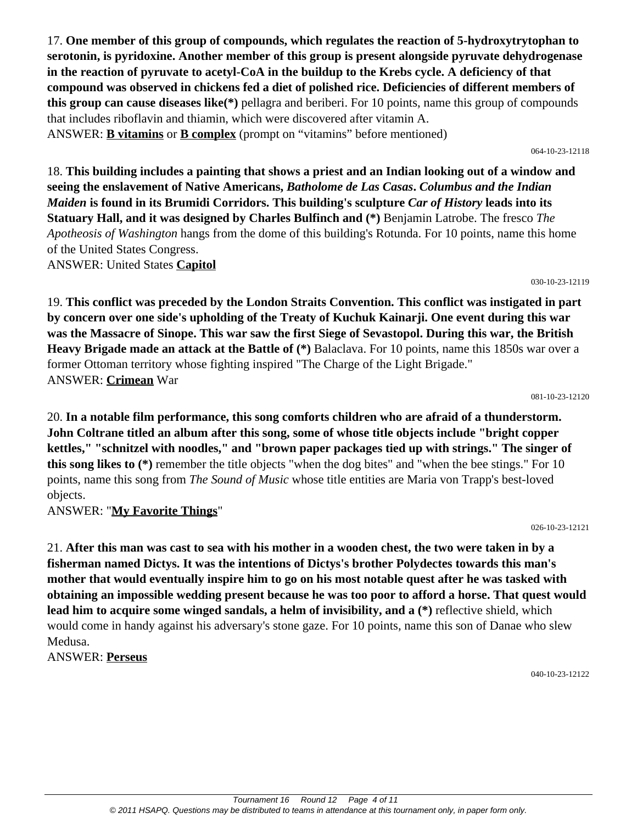17. **One member of this group of compounds, which regulates the reaction of 5-hydroxytrytophan to serotonin, is pyridoxine. Another member of this group is present alongside pyruvate dehydrogenase in the reaction of pyruvate to acetyl-CoA in the buildup to the Krebs cycle. A deficiency of that compound was observed in chickens fed a diet of polished rice. Deficiencies of different members of this group can cause diseases like(\*)** pellagra and beriberi. For 10 points, name this group of compounds that includes riboflavin and thiamin, which were discovered after vitamin A. ANSWER: **B vitamins** or **B complex** (prompt on "vitamins" before mentioned)

064-10-23-12118

18. **This building includes a painting that shows a priest and an Indian looking out of a window and seeing the enslavement of Native Americans,** *Batholome de Las Casas***.** *Columbus and the Indian Maiden* **is found in its Brumidi Corridors. This building's sculpture** *Car of History* **leads into its Statuary Hall, and it was designed by Charles Bulfinch and (\*)** Benjamin Latrobe. The fresco *The Apotheosis of Washington* hangs from the dome of this building's Rotunda. For 10 points, name this home of the United States Congress. ANSWER: United States **Capitol**

030-10-23-12119

19. **This conflict was preceded by the London Straits Convention. This conflict was instigated in part by concern over one side's upholding of the Treaty of Kuchuk Kainarji. One event during this war was the Massacre of Sinope. This war saw the first Siege of Sevastopol. During this war, the British Heavy Brigade made an attack at the Battle of (\*)** Balaclava. For 10 points, name this 1850s war over a former Ottoman territory whose fighting inspired "The Charge of the Light Brigade." ANSWER: **Crimean** War

081-10-23-12120

20. **In a notable film performance, this song comforts children who are afraid of a thunderstorm. John Coltrane titled an album after this song, some of whose title objects include "bright copper kettles," "schnitzel with noodles," and "brown paper packages tied up with strings." The singer of this song likes to (\*)** remember the title objects "when the dog bites" and "when the bee stings." For 10 points, name this song from *The Sound of Music* whose title entities are Maria von Trapp's best-loved objects.

ANSWER: "**My Favorite Things**"

026-10-23-12121

21. **After this man was cast to sea with his mother in a wooden chest, the two were taken in by a fisherman named Dictys. It was the intentions of Dictys's brother Polydectes towards this man's mother that would eventually inspire him to go on his most notable quest after he was tasked with obtaining an impossible wedding present because he was too poor to afford a horse. That quest would lead him to acquire some winged sandals, a helm of invisibility, and a (\*)** reflective shield, which would come in handy against his adversary's stone gaze. For 10 points, name this son of Danae who slew Medusa.

ANSWER: **Perseus**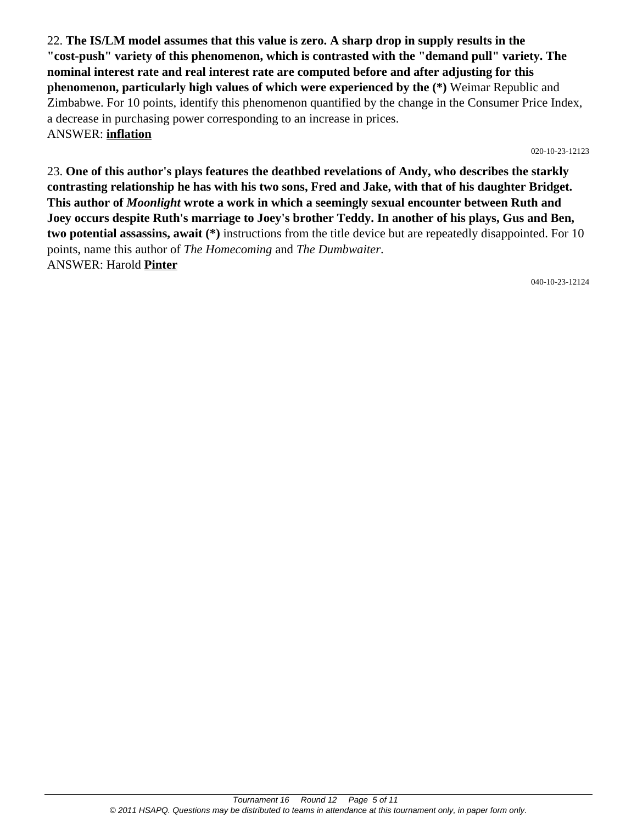22. **The IS/LM model assumes that this value is zero. A sharp drop in supply results in the "cost-push" variety of this phenomenon, which is contrasted with the "demand pull" variety. The nominal interest rate and real interest rate are computed before and after adjusting for this phenomenon, particularly high values of which were experienced by the (\*)** Weimar Republic and Zimbabwe. For 10 points, identify this phenomenon quantified by the change in the Consumer Price Index, a decrease in purchasing power corresponding to an increase in prices. ANSWER: **inflation**

020-10-23-12123

23. **One of this author's plays features the deathbed revelations of Andy, who describes the starkly contrasting relationship he has with his two sons, Fred and Jake, with that of his daughter Bridget. This author of** *Moonlight* **wrote a work in which a seemingly sexual encounter between Ruth and Joey occurs despite Ruth's marriage to Joey's brother Teddy. In another of his plays, Gus and Ben, two potential assassins, await (\*)** instructions from the title device but are repeatedly disappointed. For 10 points, name this author of *The Homecoming* and *The Dumbwaiter*. ANSWER: Harold **Pinter**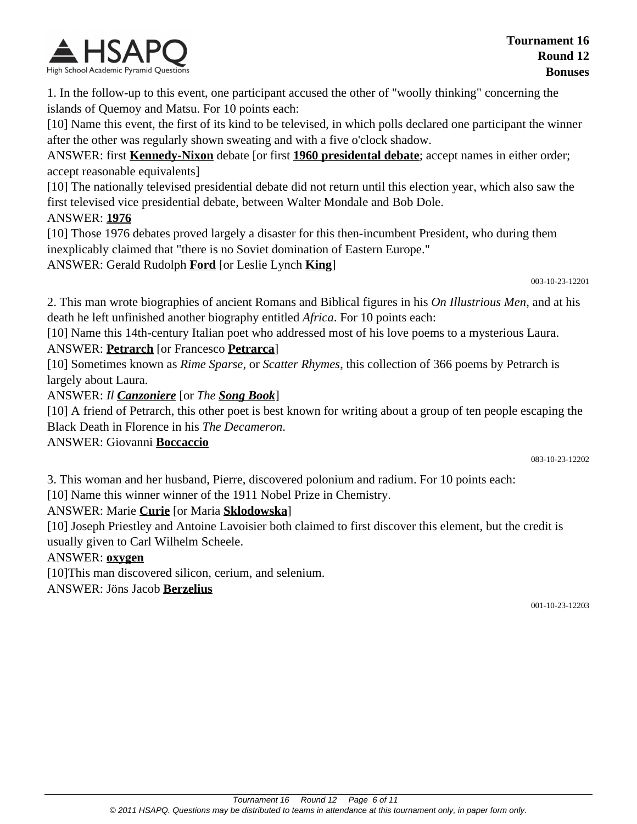

1. In the follow-up to this event, one participant accused the other of "woolly thinking" concerning the islands of Quemoy and Matsu. For 10 points each:

[10] Name this event, the first of its kind to be televised, in which polls declared one participant the winner after the other was regularly shown sweating and with a five o'clock shadow.

ANSWER: first **Kennedy-Nixon** debate [or first **1960 presidental debate**; accept names in either order; accept reasonable equivalents]

[10] The nationally televised presidential debate did not return until this election year, which also saw the first televised vice presidential debate, between Walter Mondale and Bob Dole.

#### ANSWER: **1976**

[10] Those 1976 debates proved largely a disaster for this then-incumbent President, who during them inexplicably claimed that "there is no Soviet domination of Eastern Europe."

ANSWER: Gerald Rudolph **Ford** [or Leslie Lynch **King**]

003-10-23-12201

2. This man wrote biographies of ancient Romans and Biblical figures in his *On Illustrious Men*, and at his death he left unfinished another biography entitled *Africa*. For 10 points each:

[10] Name this 14th-century Italian poet who addressed most of his love poems to a mysterious Laura. ANSWER: **Petrarch** [or Francesco **Petrarca**]

[10] Sometimes known as *Rime Sparse*, or *Scatter Rhymes*, this collection of 366 poems by Petrarch is largely about Laura.

ANSWER: *Il Canzoniere* [or *The Song Book*]

[10] A friend of Petrarch, this other poet is best known for writing about a group of ten people escaping the Black Death in Florence in his *The Decameron*.

ANSWER: Giovanni **Boccaccio**

083-10-23-12202

3. This woman and her husband, Pierre, discovered polonium and radium. For 10 points each:

[10] Name this winner winner of the 1911 Nobel Prize in Chemistry.

### ANSWER: Marie **Curie** [or Maria **Sklodowska**]

[10] Joseph Priestley and Antoine Lavoisier both claimed to first discover this element, but the credit is usually given to Carl Wilhelm Scheele.

### ANSWER: **oxygen**

[10]This man discovered silicon, cerium, and selenium.

ANSWER: Jöns Jacob **Berzelius**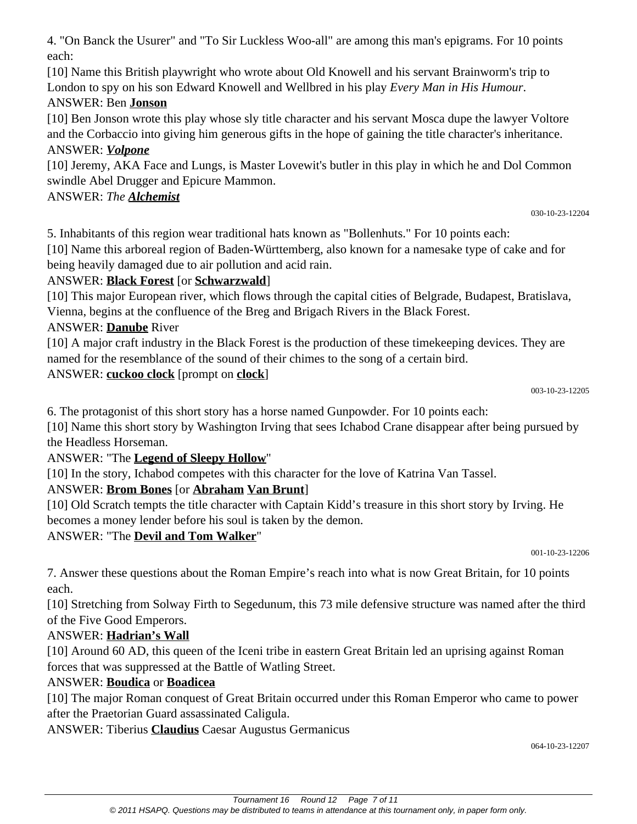4. "On Banck the Usurer" and "To Sir Luckless Woo-all" are among this man's epigrams. For 10 points each:

[10] Name this British playwright who wrote about Old Knowell and his servant Brainworm's trip to London to spy on his son Edward Knowell and Wellbred in his play *Every Man in His Humour*.

## ANSWER: Ben **Jonson**

[10] Ben Jonson wrote this play whose sly title character and his servant Mosca dupe the lawyer Voltore and the Corbaccio into giving him generous gifts in the hope of gaining the title character's inheritance. ANSWER: *Volpone*

[10] Jeremy, AKA Face and Lungs, is Master Lovewit's butler in this play in which he and Dol Common swindle Abel Drugger and Epicure Mammon.

## ANSWER: *The Alchemist*

5. Inhabitants of this region wear traditional hats known as "Bollenhuts." For 10 points each:

[10] Name this arboreal region of Baden-Württemberg, also known for a namesake type of cake and for being heavily damaged due to air pollution and acid rain.

## ANSWER: **Black Forest** [or **Schwarzwald**]

[10] This major European river, which flows through the capital cities of Belgrade, Budapest, Bratislava, Vienna, begins at the confluence of the Breg and Brigach Rivers in the Black Forest.

## ANSWER: **Danube** River

[10] A major craft industry in the Black Forest is the production of these timekeeping devices. They are named for the resemblance of the sound of their chimes to the song of a certain bird.

## ANSWER: **cuckoo clock** [prompt on **clock**]

6. The protagonist of this short story has a horse named Gunpowder. For 10 points each:

[10] Name this short story by Washington Irving that sees Ichabod Crane disappear after being pursued by the Headless Horseman.

ANSWER: "The **Legend of Sleepy Hollow**"

[10] In the story, Ichabod competes with this character for the love of Katrina Van Tassel.

## ANSWER: **Brom Bones** [or **Abraham Van Brunt**]

[10] Old Scratch tempts the title character with Captain Kidd's treasure in this short story by Irving. He becomes a money lender before his soul is taken by the demon.

ANSWER: "The **Devil and Tom Walker**"

001-10-23-12206

003-10-23-12205

7. Answer these questions about the Roman Empire's reach into what is now Great Britain, for 10 points each.

[10] Stretching from Solway Firth to Segedunum, this 73 mile defensive structure was named after the third of the Five Good Emperors.

## ANSWER: **Hadrian's Wall**

[10] Around 60 AD, this queen of the Iceni tribe in eastern Great Britain led an uprising against Roman forces that was suppressed at the Battle of Watling Street.

### ANSWER: **Boudica** or **Boadicea**

[10] The major Roman conquest of Great Britain occurred under this Roman Emperor who came to power after the Praetorian Guard assassinated Caligula.

ANSWER: Tiberius **Claudius** Caesar Augustus Germanicus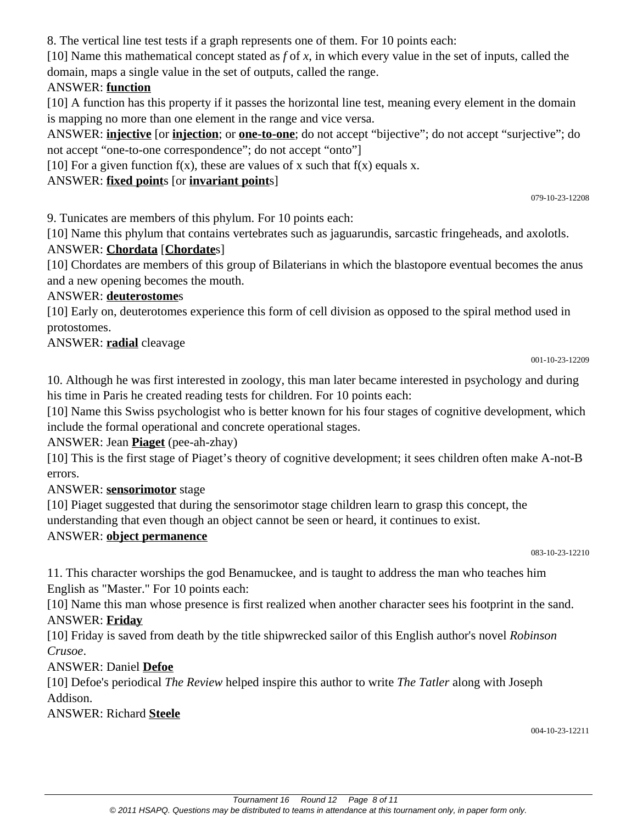8. The vertical line test tests if a graph represents one of them. For 10 points each:

[10] Name this mathematical concept stated as *f* of *x*, in which every value in the set of inputs, called the domain, maps a single value in the set of outputs, called the range.

### ANSWER: **function**

[10] A function has this property if it passes the horizontal line test, meaning every element in the domain is mapping no more than one element in the range and vice versa.

ANSWER: **injective** [or **injection**; or **one-to-one**; do not accept "bijective"; do not accept "surjective"; do not accept "one-to-one correspondence"; do not accept "onto"]

[10] For a given function  $f(x)$ , these are values of x such that  $f(x)$  equals x.

## ANSWER: **fixed point**s [or **invariant point**s]

079-10-23-12208

9. Tunicates are members of this phylum. For 10 points each:

[10] Name this phylum that contains vertebrates such as jaguarundis, sarcastic fringeheads, and axolotls.

## ANSWER: **Chordata** [**Chordate**s]

[10] Chordates are members of this group of Bilaterians in which the blastopore eventual becomes the anus and a new opening becomes the mouth.

### ANSWER: **deuterostome**s

[10] Early on, deuterotomes experience this form of cell division as opposed to the spiral method used in protostomes.

### ANSWER: **radial** cleavage

001-10-23-12209

10. Although he was first interested in zoology, this man later became interested in psychology and during his time in Paris he created reading tests for children. For 10 points each:

[10] Name this Swiss psychologist who is better known for his four stages of cognitive development, which include the formal operational and concrete operational stages.

### ANSWER: Jean **Piaget** (pee-ah-zhay)

[10] This is the first stage of Piaget's theory of cognitive development; it sees children often make A-not-B errors.

### ANSWER: **sensorimotor** stage

[10] Piaget suggested that during the sensorimotor stage children learn to grasp this concept, the understanding that even though an object cannot be seen or heard, it continues to exist.

### ANSWER: **object permanence**

083-10-23-12210

11. This character worships the god Benamuckee, and is taught to address the man who teaches him English as "Master." For 10 points each:

[10] Name this man whose presence is first realized when another character sees his footprint in the sand. ANSWER: **Friday**

[10] Friday is saved from death by the title shipwrecked sailor of this English author's novel *Robinson Crusoe*.

## ANSWER: Daniel **Defoe**

[10] Defoe's periodical *The Review* helped inspire this author to write *The Tatler* along with Joseph Addison.

ANSWER: Richard **Steele**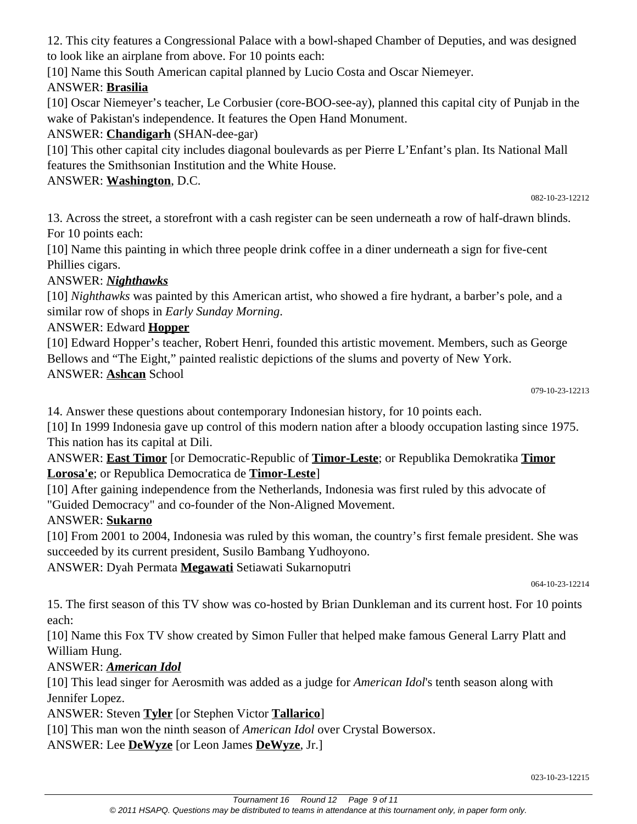Tournament 16 Round 12 Page 9 of 11 © 2011 HSAPQ. Questions may be distributed to teams in attendance at this tournament only, in paper form only.

12. This city features a Congressional Palace with a bowl-shaped Chamber of Deputies, and was designed to look like an airplane from above. For 10 points each:

[10] Name this South American capital planned by Lucio Costa and Oscar Niemeyer.

# ANSWER: **Brasilia**

[10] Oscar Niemeyer's teacher, Le Corbusier (core-BOO-see-ay), planned this capital city of Punjab in the wake of Pakistan's independence. It features the Open Hand Monument.

# ANSWER: **Chandigarh** (SHAN-dee-gar)

[10] This other capital city includes diagonal boulevards as per Pierre L'Enfant's plan. Its National Mall features the Smithsonian Institution and the White House.

ANSWER: **Washington**, D.C.

13. Across the street, a storefront with a cash register can be seen underneath a row of half-drawn blinds. For 10 points each:

[10] Name this painting in which three people drink coffee in a diner underneath a sign for five-cent Phillies cigars.

# ANSWER: *Nighthawks*

[10] *Nighthawks* was painted by this American artist, who showed a fire hydrant, a barber's pole, and a similar row of shops in *Early Sunday Morning*.

# ANSWER: Edward **Hopper**

[10] Edward Hopper's teacher, Robert Henri, founded this artistic movement. Members, such as George Bellows and "The Eight," painted realistic depictions of the slums and poverty of New York. ANSWER: **Ashcan** School

082-10-23-12212

14. Answer these questions about contemporary Indonesian history, for 10 points each.

[10] In 1999 Indonesia gave up control of this modern nation after a bloody occupation lasting since 1975. This nation has its capital at Dili.

ANSWER: **East Timor** [or Democratic-Republic of **Timor-Leste**; or Republika Demokratika **Timor Lorosa'e**; or Republica Democratica de **Timor-Leste**]

[10] After gaining independence from the Netherlands, Indonesia was first ruled by this advocate of "Guided Democracy" and co-founder of the Non-Aligned Movement.

# ANSWER: **Sukarno**

[10] From 2001 to 2004, Indonesia was ruled by this woman, the country's first female president. She was succeeded by its current president, Susilo Bambang Yudhoyono.

ANSWER: Dyah Permata **Megawati** Setiawati Sukarnoputri

064-10-23-12214

15. The first season of this TV show was co-hosted by Brian Dunkleman and its current host. For 10 points each:

[10] Name this Fox TV show created by Simon Fuller that helped make famous General Larry Platt and William Hung.

# ANSWER: *American Idol*

[10] This lead singer for Aerosmith was added as a judge for *American Idol*'s tenth season along with Jennifer Lopez.

ANSWER: Steven **Tyler** [or Stephen Victor **Tallarico**]

[10] This man won the ninth season of *American Idol* over Crystal Bowersox.

ANSWER: Lee **DeWyze** [or Leon James **DeWyze**, Jr.]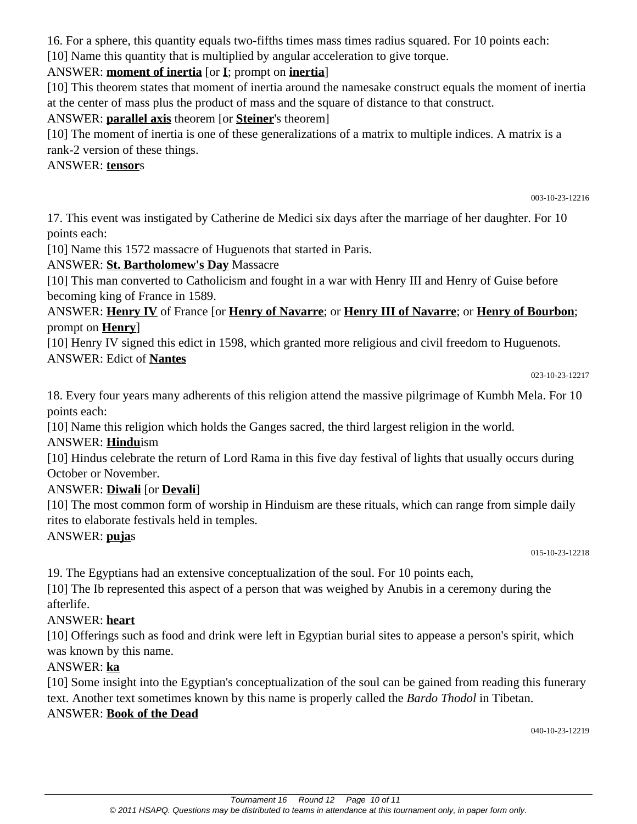16. For a sphere, this quantity equals two-fifths times mass times radius squared. For 10 points each:

[10] Name this quantity that is multiplied by angular acceleration to give torque.

## ANSWER: **moment of inertia** [or **I**; prompt on **inertia**]

[10] This theorem states that moment of inertia around the namesake construct equals the moment of inertia at the center of mass plus the product of mass and the square of distance to that construct.

### ANSWER: **parallel axis** theorem [or **Steiner**'s theorem]

[10] The moment of inertia is one of these generalizations of a matrix to multiple indices. A matrix is a rank-2 version of these things.

ANSWER: **tensor**s

003-10-23-12216

17. This event was instigated by Catherine de Medici six days after the marriage of her daughter. For 10 points each:

[10] Name this 1572 massacre of Huguenots that started in Paris.

## ANSWER: **St. Bartholomew's Day** Massacre

[10] This man converted to Catholicism and fought in a war with Henry III and Henry of Guise before becoming king of France in 1589.

ANSWER: **Henry IV** of France [or **Henry of Navarre**; or **Henry III of Navarre**; or **Henry of Bourbon**; prompt on **Henry**]

[10] Henry IV signed this edict in 1598, which granted more religious and civil freedom to Huguenots.

### ANSWER: Edict of **Nantes**

023-10-23-12217

18. Every four years many adherents of this religion attend the massive pilgrimage of Kumbh Mela. For 10 points each:

[10] Name this religion which holds the Ganges sacred, the third largest religion in the world.

## ANSWER: **Hindu**ism

[10] Hindus celebrate the return of Lord Rama in this five day festival of lights that usually occurs during October or November.

## ANSWER: **Diwali** [or **Devali**]

[10] The most common form of worship in Hinduism are these rituals, which can range from simple daily rites to elaborate festivals held in temples.

ANSWER: **puja**s

015-10-23-12218

19. The Egyptians had an extensive conceptualization of the soul. For 10 points each,

[10] The Ib represented this aspect of a person that was weighed by Anubis in a ceremony during the afterlife.

## ANSWER: **heart**

[10] Offerings such as food and drink were left in Egyptian burial sites to appease a person's spirit, which was known by this name.

## ANSWER: **ka**

[10] Some insight into the Egyptian's conceptualization of the soul can be gained from reading this funerary text. Another text sometimes known by this name is properly called the *Bardo Thodol* in Tibetan. ANSWER: **Book of the Dead**

040-10-23-12219

© 2011 HSAPQ. Questions may be distributed to teams in attendance at this tournament only, in paper form only.